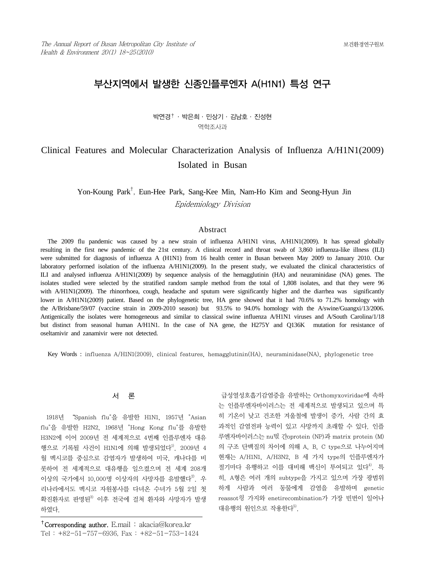# 부산지역에서 발생한 신종인플루엔자 A(H1N1) 특성 연구

박연경† ․ 박은희 ․ 민상기 ․ 김남호 ․ 진성현 역학조사과

# Clinical Features and Molecular Characterization Analysis of Influenza A/H1N1(2009) Isolated in Busan

 Yon-Koung Park† , Eun-Hee Park, Sang-Kee Min, Nam-Ho Kim and Seong-Hyun Jin Epidemiology Division

## Abstract

The 2009 flu pandemic was caused by a new strain of influenza A/H1N1 virus, A/H1N1(2009). It has spread globally resulting in the first new pandemic of the 21st century. A clinical record and throat swab of 3,860 influenza-like illness (ILI) were submitted for diagnosis of influenza A (H1N1) from 16 health center in Busan between May 2009 to January 2010. Our laboratory performed isolation of the influenza A/H1N1(2009). In the present study, we evaluated the clinical characteristics of ILI and analysed influenza A/H1N1(2009) by sequence analysis of the hemagglutinin (HA) and neuraminidase (NA) genes. The isolates studied were selected by the stratified random sample method from the total of 1,808 isolates, and that they were 96 with A/H1N1(2009). The rhinorrhoea, cough, headache and sputum were significantly higher and the diarrhea was significantly lower in A/H1N1(2009) patient. Based on the phylogenetic tree, HA gene showed that it had 70.6% to 71.2% homology with the A/Brisbane/59/07 (vaccine strain in 2009-2010 season) but 93.5% to 94.0% homology with the A/swine/Guangxi/13/2006. Antigenically the isolates were homogeneous and similar to classical swine influenza A/H1N1 viruses and A/South Carolina/1/18 but distinct from seasonal human A/H1N1. In the case of NA gene, the H275Y and Q136K mutation for resistance of oseltamivir and zanamivir were not detected.

Key Words : influenza A/H1N1(2009), clinical features, hemagglutinin(HA), neuraminidase(NA), phylogenetic tree

서 론

 1918년 "Spanish flu"을 유발한 H1N1, 1957년 "Asian flu"을 유발한 H2N2, 1968년 "Hong Kong flu"를 유발한 H3N2에 이어 2009년 전 세계적으로 4번째 인플루엔자 대유 행으로 기록될 사건이 H1N1에 의해 발생되었다<sup>1)</sup>. 2009년 4 월 멕시코를 중심으로 감염자가 발생하여 미국, 캐나다를 비 롯하여 전 세계적으로 대유행을 일으켰으며 전 세계 208개 이상의 국가에서 10,000명 이상자의 사망자를 유발했다<sup>2)</sup>. 우 리나라에서도 멕시코 자원봉사를 다녀온 수녀가 5월 2일 첫 확진환자로 판명된<sup>3)</sup> 이후 전국에 걸쳐 환자와 사망자가 발생 하였다.

 급성열성호흡기감염증을 유발하는 Orthomyxoviridae에 속하 는 인플루엔자바이러스는 전 세계적으로 발생되고 있으며 특 히 기온이 낮고 건조한 겨울철에 발생이 증가, 사람 간의 효 과적인 감염전파 능력이 있고 사망까지 초래할 수 있다. 인플 루엔자바이러스는 nu띣 간oprotein (NP)과 matrix protein (M) 의 구조 단백질의 차이에 의해 A, B, C type으로 나누어지며 현재는 A/H1N1, A/H3N2, B 세 가지 type의 인플루엔자가 절기마다 유행하고 이를 대비해 백신이 투여되고 있다<sup>4)</sup>. 특 히, A형은 여러 개의 subtype을 가지고 있으며 가장 광범위 하게 사람과 여러 동물에게 감염을 유발하며 genetic reassot읭 가지와 enetirecombination가 가장 빈번이 일어나 대유행의 원인으로 작용한다 $^{5}$ .

<sup>&</sup>lt;sup>†</sup>Corresponding author. E.mail: akacia@korea.kr Tel : +82-51-757-6936, Fax : +82-51-753-1424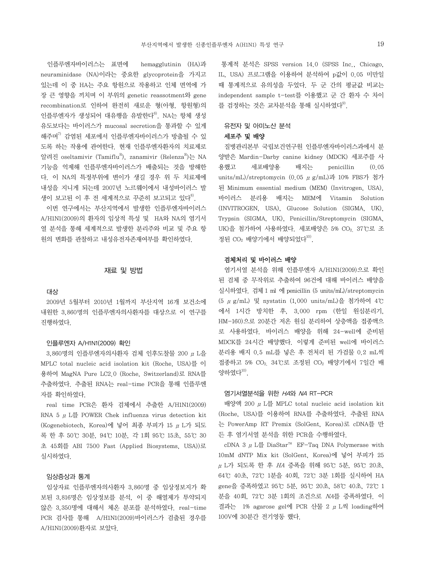인플루엔자바이러스는 표면에 hemagglutinin (HA)과 neuraminidase (NA)이라는 중요한 glycoprotein을 가지고 있는데 이 중 HA는 주요 항원으로 작용하고 인체 면역에 가 장 큰 영향을 끼치며 이 부위의 genetic reassotment와 gene recombination로 인하여 완전히 새로운 형(아형, 항원형)의 인플루엔자가 생성되어 대유행을 유발한다<sup>6)</sup>. NA는 항체 생성 유도보다는 바이러스가 mucosal secretion을 통과할 수 있게 해주며 $^{7)}$  감염된 세포에서 인플루엔자바이러스가 방출될 수 있 도록 하는 작용에 관여한다. 현재 인플루엔자환자의 치료제로 알려진 oseltamivir (Tamiflu<sup>R</sup>), zanamivir (Relenza<sup>R</sup>)는 NA 기능을 억제해 인플루엔자바이러스가 배출되는 것을 방해한 다. 이 NA의 특정부위에 변이가 생길 경우 위 두 치료제에 내성을 지니게 되는데 2007년 노르웨이에서 내성바이러스 발 생이 보고된 이 후 전 세계적으로 꾸준히 보고되고 있다<sup>8</sup>.

 이번 연구에서는 부산지역에서 발생한 인플루엔자바이러스 A/H1N1(2009)의 환자의 임상적 특성 및 HA와 NA의 염기서 열 분석을 통해 세계적으로 발생한 분리주와 비교 및 주요 항 원의 변화를 관찰하고 내성유전자존재여부를 확인하였다.

## 재료 및 방법

#### 대상

 2009년 5월부터 2010년 1월까지 부산지역 16개 보건소에 내원한 3,860명의 인플루엔자의사환자를 대상으로 이 연구를 진행하였다.

#### 인플루엔자 A/H1N1(2009) 확인

 3,860명의 인플루엔자의사환자 검체 인후도찰물 200 μL을 MPLC total nucleic acid isolation kit (Roche, USA)를 이 용하여 MagNA Pure LC2.0 (Roche, Switzerland)로 RNA를 추출하였다. 추출된 RNA는 real-time PCR을 통해 인플루엔 자를 확인하였다.

 real time PCR은 환자 검체에서 추출한 A/H1N1(2009) RNA 5  $\mu$  L를 POWER Chek influenza virus detection kit (Kogenebiotech, Korea)에 넣어 최종 부피가 15 μL가 되도 록 한 후 50℃ 30분, 94℃ 10분, 각 1회 95℃ 15초, 55℃ 30 초 45회를 ABI 7500 Fast (Applied Biosystems, USA))로 실시하였다.

#### 임상증상과 통계

 임상자료 인플루엔자의사환자 3,860명 중 임상정보지가 확 보된 3,816명은 임상정보를 분석, 이 중 해열제가 투약되지 않은 3,350명에 대해서 체온 분포를 분석하였다. real-time PCR 검사를 통해 A/H1N1(2009)바이러스가 검출된 경우를 A/H1N1(2009)환자로 보았다.

 통계적 분석은 SPSS version 14.0 (SPSS Inc., Chicago, IL, USA) 프로그램을 이용하여 분석하여 p값이 0.05 미만일 때 통계적으로 유의성을 두었다. 두 군 간의 평균값 비교는 independent sample t-test를 이용했고 군 간 환자 수 차이 를 검정하는 것은 교차부석을 통해 실시하였다<sup>9)</sup>.

### 유전자 및 아미노산 분석

## 세포주 및 배양

 질병관리본부 국립보건연구원 인플루엔자바이러스과에서 분 양받은 Mardin-Darby canine kidney (MDCK) 세포주를 사 용했고 세포배양용 배지는 penicillin (0.05 units/mL)/streptomycin (0.05 μg/mL)과 10% FBS가 첨가 된 Minimum essential medium (MEM) (Invitrogen, USA), 바이러스 분리용 배지는 MEM에 Vitamin Solution (INVITROGEN, USA), Glucose Solution (SIGMA, UK), Trypsin (SIGMA, UK), Penicillin/Streptomycin (SIGMA, UK)을 첨가하여 사용하였다. 세포배양은 5% CO2, 37℃로 조 정된 CO<sub>2</sub> 배양기에서 배양되었다<sup>10)</sup>.

## 검체처리 및 바이러스 배양

 염기서열 분석을 위해 인플루엔자 A/H1N1(2009)으로 확인 된 검체 중 무작위로 추출하여 96건에 대해 바이러스 배양을 실시하였다. 검체 1 ml 에 penicillin (5 units/mL)/streptomycin (5 μg/mL) 및 nystatin (1,000 units/mL)을 첨가하여 4℃ 에서 1시간 방치한 후, 3,000 rpm (한일 원심분리기, HM-160)으로 20분간 저온 원심 분리하여 상층액을 접종액으 로 사용하였다. 바이러스 배양을 위해 24-well에 준비된 MDCK를 24시간 배양했다. 이렇게 준비된 well에 바이러스 분리용 배지 0.5 mL를 넣은 후 전처리 된 가검물 0.2 mL씩 접종하고 5% CO2, 34℃로 조정된 CO2 배양기에서 7일간 배 양하였다 $^{10)}$ .

#### 염기서열분석을 위한 HA와 NA RT-PCR

 배양액 200 μL를 MPLC total nucleic acid isolation kit (Roche, USA)를 이용하여 RNA를 추출하였다. 추출된 RNA 는 PowerAmp RT Premix (SolGent, Korea)로 cDNA를 만 든 후 염기서열 분석을 위한 PCR을 수행하였다.

 cDNA 3 μL를 DiaStar™ EF-Taq DNA Polymerase with 10mM dNTP Mix kit (SolGent, Korea)에 넣어 부피가 25 μL가 되도록 한 후 HA 증폭을 위해 95℃ 5분, 95℃ 20초, 64℃ 40초, 72℃ 1분을 40회, 72℃ 3분 1회를 실시하여 HA gene을 증폭하였고 95℃ 5분, 95℃ 20초, 58℃ 40초, 72℃ 1 분을 40회, 72℃ 3분 1회의 조건으로 NA를 증폭하였다. 이 결과는 1% agarose gel에 PCR 산물 2 μL씩 loading하여 100V에 30분간 전기영동 했다.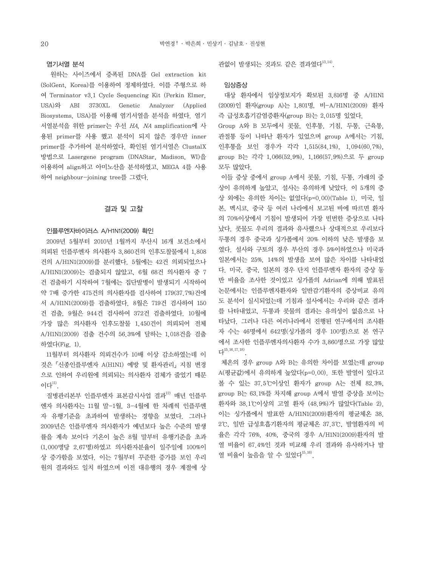## 염기서열 분석

 원하는 사이즈에서 증폭된 DNA를 Gel extraction kit (SolGent, Korea)를 이용하여 정제하였다. 이를 주형으로 하 여 Terminator v3.1 Cycle Sequencing Kit (Perkin Elmer, USA)와 ABI 3730XL Genetic Analyzer (Applied Biosystems, USA)를 이용해 염기서열을 분석을 하였다. 염기 서열분석을 위한 primer는 우선 HA, NA amplification에 사 용된 primer를 사용 했고 분석이 되지 않은 경우만 inner primer를 추가하여 분석하였다. 확인된 염기서열은 ClustalX 방법으로 Lasergene program (DNAStar, Madison, WI)을 이용하여 align하고 아미노산을 분석하였고, MEGA 4를 사용 하여 neighbour-joining tree를 그렸다.

## 결과 및 고찰

### 인플루엔자바이러스 A/H1N1(2009) 확인

 2009년 5월부터 2010년 1월까지 부산시 16개 보건소에서 의뢰된 인플루엔자 의사환자 3,860건의 인후도찰물에서 1,808 건의 A/H1N1(2009)를 분리했다. 5월에는 42건 의뢰되었으나 A/H1N1(2009)는 검출되지 않았고, 6월 68건 의사환자 중 7 건 검출하기 시작하여 7월에는 집단발병이 발생되기 시작하여 약 7배 증가한 475건의 의사환자를 검사하여 179(37.7%)건에 서 A/H1N1(2009)를 검출하였다. 8월은 719건 검사하여 150 건 검출, 9월은 944건 검사하여 372건 검출하였다. 10월에 가장 많은 의사환자 인후도찰물 1,450건이 의뢰되어 전체 A/H1N1(2009) 검출 건수의 56.3%에 달하는 1,018건을 검출 하였다(Fig. 1).

 11월부터 의사환자 의뢰건수가 10배 이상 감소하였는데 이 것은「신종인플루엔자 A(H1N1) 예방 및 환자관리」지침 변경 으로 인하여 우리원에 의뢰되는 의사환자 검체가 줄었기 때문 이다 $^{11)}$ .

질병관리본부 인플루에자 표본감시사업 결과<sup>12)</sup> 매년 인플루 엔자 의사환자는 11월 말-1월, 3-4월에 한 차례씩 인플루엔 자 유행기준을 초과하여 발생하는 경향을 보였다. 그러나 2009년은 인플루엔자 의사환자가 예년보다 높은 수준의 발생 률을 계속 보이다 기온이 높은 8월 말부터 유행기준을 초과 (1,000명당 2.67명)하였고 의사환자분율이 일주일에 100%이 상 증가함을 보였다. 이는 7월부터 꾸준한 증가를 보인 우리 원의 결과와도 일치 하였으며 이전 대유행의 경우 계절에 상 관없이 발생되는 것과도 같은 결과였다 $^{13,14)}$ .

## 임상증상

 대상 환자에서 임상정보지가 확보된 3,816명 중 A/H1N1 (2009)인 환자(group A)는 1,801명, 비-A/H1N1(2009) 환자 즉 급성호흡기감염증환자(group B)는 2,015명 있었다.

Group A와 B 모두에서 콧물, 인후통, 기침, 두통, 근육통, 관절통 등이 나타난 환자가 있었으며 group A에서는 기침, 인후통을 보인 경우가 각각 1,515(84.1%), 1,094(60.7%), group B는 각각 1,066(52.9%), 1,166(57.9%)으로 두 group 모두 많았다.

 이들 증상 중에서 group A에서 콧물, 기침, 두통, 가래의 증 상이 유의하게 높았고, 설사는 유의하게 낮았다. 이 5개의 증 상 외에는 유의한 차이는 없었다(p=0.00)(Table 1). 미국, 일 본, 멕시코, 중국 등 여러 나라에서 보고된 바에 따르면 환자 의 70%이상에서 기침이 발생되어 가장 빈번한 증상으로 나타 났다. 콧물도 우리의 결과와 유사했으나 상대적으로 우리보다 두통의 경우 중국과 싱가폴에서 20% 이하의 낮은 발생을 보 였다. 설사와 구토의 경우 부산의 경우 5%이하였으나 미국과 일본에서는 25%, 14%의 발생을 보여 많은 차이를 나타내었 다. 미국, 중국, 일본의 경우 단지 인플루엔자 환자의 증상 동 반 비율을 조사한 것이었고 싱가폴의 Adrian에 의해 발표된 논문에서는 인플루엔자환자와 일반감기환자의 증상비교 유의 도 분석이 실시되었는데 기침과 설사에서는 우리와 같은 결과 를 나타내었고, 두통과 콧물의 결과는 유의성이 없음으로 나 타났다. 그러나 다른 여러나라에서 진행된 연구에서의 조사환 자 수는 46명에서 642명(싱가폴의 경우 100명)으로 본 연구 에서 조사한 인플루엔자의사환자 수가 3,860명으로 가장 많았  $L^{15,16,17,18}$ 

 체온의 경우 group A와 B는 유의한 차이를 보였는데 group A(평균값)에서 유의하게 높았다(p=0.00). 또한 발열이 있다고 볼 수 있는 37.5℃이상인 환자가 group A는 전체 82.3%, group B는 63.1%를 차지해 group A에서 발열 증상을 보이는 환자와 38.1℃이상의 고열 환자 (48.9%)가 많았다(Table 2). 이는 싱가폴에서 발표한 A/H1N1(2009)환자의 평균체온 38. 2℃, 일반 급성호흡기환자의 평균체온 37.3℃, 발열환자의 비 율은 각각 76%, 40%, 중국의 경우 A/H1N1(2009)환자의 발 열 비율이 67.4%인 것과 비교해 우리 결과와 유사하거나 발 열 비율이 높음을 알 수 있었다 $^{15,16)}$ .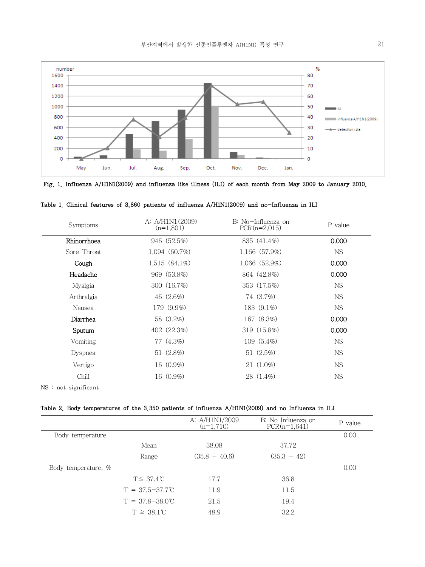

Fig. 1. Influenza A/H1N1(2009) and influenza like illness (ILI) of each month from May 2009 to January 2010.

| Symptoms    | A: A/H1N1(2009)<br>$(n=1,801)$ | B: No-Influenza on<br>$PCR(n=2,015)$ | P value   |
|-------------|--------------------------------|--------------------------------------|-----------|
| Rhinorrhoea | 946 (52.5%)                    | 835 (41.4%)                          | 0.000     |
| Sore Throat | 1,094(60.7%)                   | 1,166 (57.9%)                        | <b>NS</b> |
| Cough       | $1,515(84.1\%)$                | 1,066(52.9%)                         | 0.000     |
| Headache    | 969 (53.8%)                    | 864 (42.8%)                          | 0.000     |
| Myalgia     | 300 (16.7%)                    | 353 (17.5%)                          | <b>NS</b> |
| Arthralgia  | $46(2.6\%)$                    | 74 (3.7%)                            | <b>NS</b> |
| Nausea      | 179 (9.9%)                     | 183 (9.1%)                           | <b>NS</b> |
| Diarrhea    | 58 (3.2%)                      | 167 (8.3%)                           | 0.000     |
| Sputum      | 402 (22.3%)                    | 319 (15.8%)                          | 0.000     |
| Vomiting    | 77 (4.3%)                      | $109(5.4\%)$                         | <b>NS</b> |
| Dyspnea     | 51 (2.8%)                      | 51(2.5%)                             | <b>NS</b> |
| Vertigo     | 16 (0.9%)                      | 21 (1.0%)                            | <b>NS</b> |
| Chill       | 16 (0.9%)                      | 28 (1.4%)                            | <b>NS</b> |

Table 1. Clinical features of 3,860 patients of influenza A/H1N1(2009) and no-Influenza in ILI

NS : not significant

## Table 2. Body temperatures of the 3,350 patients of influenza A/H1N1(2009) and no Influenza in ILI

|                       |                            | A: A/H1N1/2009<br>$(n=1,710)$ | B: No Influenza on<br>$PCR(n=1,641)$ | P value |
|-----------------------|----------------------------|-------------------------------|--------------------------------------|---------|
| Body temperature      |                            |                               |                                      | 0.00    |
|                       | Mean                       | 38.08                         | 37.72                                |         |
|                       | Range                      | $(35.8 - 40.6)$               | $(35.3 - 42)$                        |         |
| Body temperature, $%$ |                            |                               |                                      | 0.00    |
|                       | $T \leq 37.4$ °C           | 17.7                          | 36.8                                 |         |
|                       | $T = 37.5 - 37.7^{\circ}C$ | 11.9                          | 11.5                                 |         |
|                       | $T = 37.8 - 38.0^{\circ}C$ | 21.5                          | 19.4                                 |         |
|                       | $T \geq 38.1^{\circ}C$     | 48.9                          | 32.2                                 |         |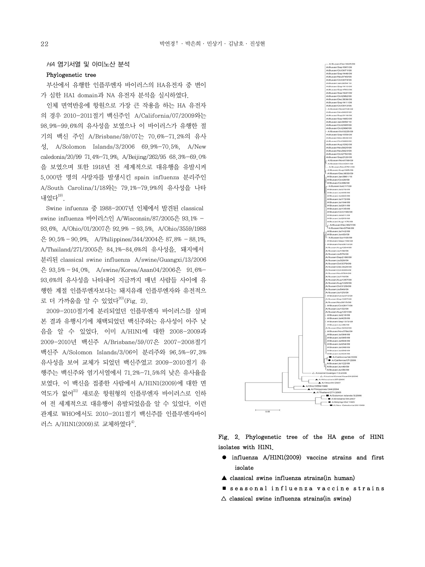## $HA$  염기서열 및 아미노산 분석

## Phylogenetic tree

 부산에서 유행한 인플루엔자 바이러스의 HA유전자 중 변이 가 심한 HA1 domain과 NA 유전자 분석을 실시하였다.

 인체 면역반응에 항원으로 가장 큰 작용을 하는 HA 유전자 의 경우 2010-2011절기 백신주인 A/California/07/2009와는 98.9%-99.6%의 유사성을 보였으나 이 바이러스가 유행한 절 기의 백신 주인 A/Brisbane/59/07는 70.6%-71.2%의 유사 성, A/Solomon Islands/3/2006 69.9%-70.5%, A/New caledonia/20/99 71.4%-71.9%, A/Beijing/262/95 68.3%-69.0% 을 보였으며 또한 1918년 전 세계적으로 대유행을 유발시켜 5,000만 명의 사망자를 발생시킨 spain influenza 분리주인 A/South Carolina/1/18와는 79.1%-79.9%의 유사성을 나타 내었다 $^{19}$ .

 Swine infuenza 중 1988-2007년 인체에서 발견된 classical swine influenza 바이러스인 A/Wisconsin/87/2005은 93.1% - 93.6%, A/Ohio/01/2007은 92.9% - 93.5%, A/Ohio/3559/1988  $\frac{6}{10}$  90.5% - 90.9%, A/Philippines/344/2004 $\frac{6}{10}$  87.8% - 88.1%. A/Thailand/271/2005은 84.1%-84.6%의 유사성을, 돼지에서 분리된 classical swine influenza A/swine/Guangxi/13/2006 은 93.5% - 94.0%, A/swine/Korea/Asan04/2006은 91.6%- 93.6%의 유사성을 나타내어 지금까지 매년 사람들 사이에 유 행한 계절 인플루엔자보다는 돼지유래 인플루엔자와 유전적으 로 더 가까움을 알 수 있었다 $^{20)}$ (Fig. 2).

 2009-2010절기에 분리되었던 인플루엔자 바이러스를 살펴 본 결과 유행시기에 채택되었던 백신주와는 유사성이 아주 낮 음을 알 수 있었다. 이미 A/H1N1에 대한 2008-2009과 2009-2010년 백신주 A/Brisbane/59/07은 2007-2008절기 백신주 A/Solomon Islands/3/06이 분리주와 96.5%-97.3% 유사성을 보여 교체가 되었던 백신주였고 2009-2010절기 유 행주는 백신주와 염기서열에서 71.2%-71.5%의 낮은 유사율을 보였다. 이 백신을 접종한 사람에서 A/H1N1(2009)에 대한 면 역도가 없어<sup>21)</sup> 새로운 항원형의 인플루엔자 바이러스로 인하 여 전 세계적으로 대유행이 유발되었음을 알 수 있었다. 이런 관계로 WHO에서도 2010-2011절기 백신주를 인플루엔자바이 러스 A/H1N1(2009)로 교체하였다<sup>4)</sup>.

Fig. 2. Phylogenetic tree of the HA gene of H1N1 isolates with H1N1.

- influenza A/H1N1(2009) vaccine strains and first isolate
- ▲ classical swine influenza strains(in human)
- seasonal influenza vaccine strains
- $\Delta$  classical swine influenza strains(in swine)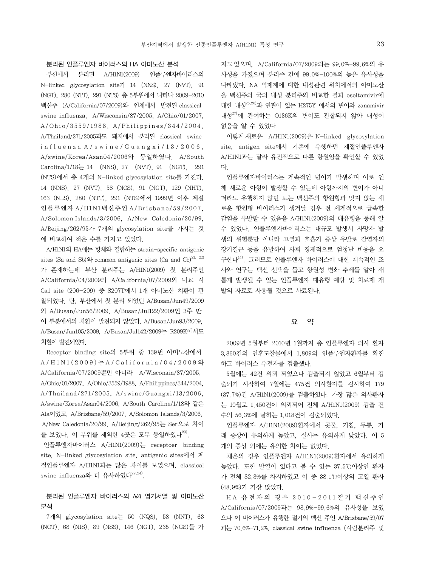## 분리된 인플루엔자 바이러스의 HA 아미노산 분석

 부산에서 분리된 A/H1N1(2009) 인플루엔자바이러스의 N-linked glycosylation site가 14 (NNS), 27 (NVT), 91 (NGT), 280 (NTT), 291 (NTS) 총 5부위에서 나타나 2009-2010 백신주 (A/California/07/2009)와 인체에서 발견된 classical swine influenza, A/Wisconsin/87/2005, A/Ohio/01/2007, A/Ohio/3559/1988, A/Philippines/344/2004. A/Thailand/271/2005과도 돼지에서 분리된 classical swine  $in$ f luenza A / swine / Guangxi / 13 / 2006, A/swine/Korea/Asan04/2006와 동일하였다. A/South  $Carolina/1/18 \rightleftharpoons 14$  (NNS), 27 (NVT), 91 (NGT), 291 (NTS)에서 총 4개의 N-linked glycosylation site를 가진다. 14 (NNS), 27 (NVT), 58 (NCS), 91 (NGT), 129 (NHT), 163 (NLS), 280 (NTT), 291 (NTS)에서 1999년 이후 계절 인플루엔자 A/H1N1백신주인 A/Br isbane/59/2007, A/Solomon Islands/3/2006, A/New Caledonia/20/99, A/Beijing/262/95가 7개의 glycosylation site를 가지는 것 에 비교하여 적은 수를 가지고 있었다.

 A/H1N1의 HA에는 항체와 결합하는 strain-specific antigenic sites (Sa and Sb) $2^{\circ}$  common antigenic sites (Ca and Cb) $^{21, 22}$ 가 존재하는데 부산 분리주는 A/H1N1(2009) 첫 분리주인 A/California/04/2009와 A/California/07/2009와 비교 시 Ca1 site (206-209) 중 S207T에서 1개 아미노산 치환이 관 찰되었다. 단, 부산에서 첫 분리 되었던 A/Busan/Jun49/2009 와 A/Busan/Jun56/2009, A/Busan/Jul122/2009인 3주 만 이 부분에서의 치환이 발견되지 않았다. A/Busan/Jun93/2009, A/Busan/Jun105/2009, A/Busan/Jul142/2009는 R209K에서도 치환이 발견되었다.

 Receptor binding site의 5부위 중 139번 아미노산에서  $A/H1N1(2009)$ 는 $A/California/04/2009$ 와 A/California/07/2009뿐만 아니라 A/Wisconsin/87/2005, A/Ohio/01/2007, A/Ohio/3559/1988, A/Philippines/344/2004, A/Thailand/271/2005, A/swine/Guangxi/13/2006, A/swine/Korea/Asan04/2006, A/South Carolina/1/18와 같은 Ala이었고, A/Brisbane/59/2007, A/Solomon Islands/3/2006, A/New Caledonia/20/99, A/Beijing/262/95는 Ser으로 차이 를 보였다. 이 부위를 제외한 4곳은 모두 동일하였다<sup>23)</sup>.

 인플루엔자바이러스 A/H1N1(2009)는 receptoer binding site, N-linked glycosylation site, antigenic sites에서 계 절인플루엔자 A/H1N1과는 많은 차이를 보였으며, classical swine influenza와 더 유사하였다<sup>22,24)</sup>.

# 분리된 인플루엔자 바이러스의 NA 염기서열 및 아미노산 분석

 7개의 glycosylation site는 50 (NQS), 58 (NNT), 63 (NOT), 68 (NIS), 89 (NSS), 146 (NGT), 235 (NGS)를 가

지고있으며, A/California/07/2009와는 99.0%-99.6%의 유 사성을 가졌으며 분리주 간에 99.0%-100%의 높은 유사성을 나타냈다. NA 억제제에 대한 내성관련 위치에서의 아미노산 을 백신주와 국외 내성 분리주와 비교한 결과 oseltamivir에 대한 내성25,26)과 연관이 있는 H275Y 에서의 변이와 zanamivir 내성 $^{27)}$ 에 관여하는 O136K의 변이도 관찰되지 않아 내성이 없음을 알 수 있었다

 이렇게새로운 A/H1N1(2009)은 N-linked glycosylation site, antigen site에서 기존에 유행하던 계절인플루엔자 A/H1N1과는 달라 유전적으로 다른 항원임을 확인할 수 있었 다.

 인플루엔자바이러스는 계속적인 변이가 발생하며 이로 인 해 새로운 아형이 발생할 수 있는데 아형까지의 변이가 아니 더라도 유행하지 않던 또는 백신주의 항원형과 맞지 않는 새 로운 항원형 바이러스가 생겨날 경우 전 세계적으로 급속한 감염을 유발할 수 있음을 A/H1N1(2009)의 대유행을 통해 알 수 있었다. 인플루엔자바이러스는 대규모 발생시 사망자 발 생의 위험뿐만 아니라 고열과 호흡기 증상 유발로 감염자의 장기결근 등을 유발하여 사회 경제적으로 엄청난 비용을 요 구한다14). 그러므로 인플루엔자 바이러스에 대한 계속적인 조 사와 연구는 백신 선택을 돕고 항원성 변화 추세를 알아 새 롭게 발생될 수 있는 인플루엔자 대유행 예방 및 치료제 개 발의 자료로 사용될 것으로 사료된다.

## 요 약

 2009년 5월부터 2010년 1월까지 총 인플루엔자 의사 환자 3,860건의 인후도찰물에서 1,809의 인플루엔자환자를 확진 하고 바이러스 유전자를 검출했다.

 5월에는 42건 의뢰 되었으나 검출되지 않았고 6월부터 검 출되기 시작하여 7월에는 475건 의사환자를 검사하여 179 (37.7%)건 A/H1N1(2009)를 검출하였다. 가장 많은 의사환자 는 10월로 1,450건이 의뢰되어 전체 A/H1N1(2009) 검출 건 수의 56.3%에 달하는 1,018건이 검출되었다.

 인플루엔자 A/H1N1(2009)환자에서 콧물, 기침, 두통, 가 래 증상이 유의하게 높았고, 설사는 유의하게 낮았다. 이 5 개의 증상 외에는 유의한 차이는 없었다.

 체온의 경우 인플루엔자 A/H1N1(2009)환자에서 유의하게 높았다. 또한 발열이 있다고 볼 수 있는 37.5℃이상인 환자 가 전체 82.3%를 차지하였고 이 중 38.1℃이상의 고열 환자 (48.9%)가 가장 많았다.

HA 유전자의 경우 2010-2011절기 백신주인 A/California/07/2009과는 98.9%-99.6%의 유사성을 보였 으나 이 바이러스가 유행한 절기의 백신 주인 A/Brisbane/59/07 과는 70.6%-71.2%, classical swine influenza (사람분리주 및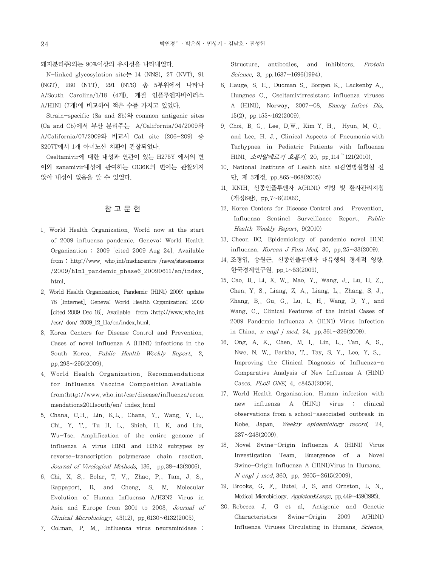## 돼지분리주)와는 90%이상의 유사성을 나타내었다.

 N-linked glycosylation site는 14 (NNS), 27 (NVT), 91 (NGT), 280 (NTT), 291 (NTS) 총 5부위에서 나타나 A/South Carolina/1/18 (4개), 계절 인플루엔자바이러스 A/H1N1 (7개)에 비교하여 적은 수를 가지고 있었다.

 Strain-specific (Sa and Sb)와 common antigenic sites (Ca and Cb)에서 부산 분리주는 A/California/04/2009와 A/California/07/2009와 비교시 Ca1 site (206-209) 중 S207T에서 1개 아미노산 치환이 관찰되었다.

 Oseltamivir에 대한 내성과 연관이 있는 H275Y 에서의 변 이와 zanamivir내성에 관여하는 O136K의 변이는 관찰되지 않아 내성이 없음을 알 수 있었다.

# 참 고 문 헌

- 1. World Health Organization. World now at the start of 2009 influenza pandemic. Geneva: World Health Organization ; 2009 [cited 2009 Aug 24]. Available from : http://www. who.int/mediacentre /news/statements /2009/h1n1\_pandemic\_phase6\_20090611/en/index. html.
- 2. World Health Organization. Pandemic (H1N1) 2009: update 78 [Internet]. Geneva: World Health Organization; 2009 [cited 2009 Dec 18]. Available from :http://www.who.int  $/\text{csr}/$  don/ 2009 12 11a/en/index.html.
- 3. Korea Centers for Disease Control and Prevention. Cases of novel influenza A (H1N1) infections in the South Korea. Public Health Weekly Report, 2, pp.293~295(2009).
- 4. World Health Organization. Recommendations for Influenza Vaccine Composition Available from:http://www.who.int/csr/disease/influenza/ecom mendations2011south/en/ index.html
- 5. Chana, C.H., Lin, K.L., Chana, Y., Wang, Y. L., Chi, Y. T., Tu H. L., Shieh, H. K. and Liu, Wu-Tse. Amplification of the entire genome of influenza A virus H1N1 and H3N2 subtypes by reverse-transcription polymerase chain reaction. Journal of Virological Methods, 136, pp.38~43(2006).
- 6. Chi, X. S., Bolar, T. V., Zhao, P., Tam, J. S., Rappaport, R. and Cheng, S. M. Molecular Evolution of Human Influenza A/H3N2 Virus in Asia and Europe from 2001 to 2003. Journal of Clinical Microbiology,  $43(12)$ , pp. $6130~6132(2005)$ .
- 7. Colman, P. M., Influenza virus neuraminidase :

Structure, antibodies, and inhibitors. Protein Science, 3, pp.1687~1696(1994).

- 8. Hauge, S. H., Dudman S., Borgen K., Lackenby A., Hungnes O., Oseltamivirresistant influenza viruses A (H1N1), Norway, 2007~08. Emerg Infect Dis, 15(2), pp.155~162(2009).
- 9. Choi, B. G., Lee, D.W., Kim Y. H., Hyun, M. C., and Lee, H. J., Clinical Aspects of Pneumonia with Tachypnea in Pediatric Patients with Influenza H1N1. 소아알레르기 호흡기, 20, pp.114~121(2010).
- 10. National Institute of Health alth al감염병실험실 진 단, 제 3개정, pp.865~868(2005)
- 11. KNIH, 신종인플루엔자 A(H1N1) 예방 빛 환자관리지침 (개정6판), pp.7~8(2009).
- 12. Korea Centers for Disease Control and Prevention. Influenza Sentinel Surveillance Report. Public Health Weekly Report, 9(2010)
- 13. Cheon BC. Epidemiology of pandemic novel H1N1 influenza. Korean J Fam Med. 30, pp.25 $\sim$ 33(2009).
- 14. 조경엽, 송원근, 신종인플루엔자 대유행의 경제적 영향. 한국경제연구원, pp.1~53(2009).
- 15. Cao, B., Li, X. W., Mao, Y., Wang, J., Lu, H. Z., Chen, Y. S., Liang, Z. A., Liang, L., Zhang, S. J., Zhang, B., Gu, G., Lu, L. H., Wang, D. Y., and Wang, C., Clinical Features of the Initial Cases of 2009 Pandemic Influenza A (H1N1) Virus Infection in China. *n engl j med*, 24, pp.  $361 \sim 326(2009)$ .
- 16. Ong, A. K., Chen, M. I., Lin, L., Tan, A. S., Nwe, N. W., Barkha, T., Tay, S. Y., Leo, Y. S., Improving the Clinical Diagnosis of Influenza-a Comparative Analysis of New Influenza A (H1N1) Cases. PLoS ONE, 4, e8453(2009).
- 17. World Health Organization. Human infection with new influenza A (H1N1) virus : clinical observations from a school-associated outbreak in Kobe, Japan. Weekly epidemiology record, 24, 237~248(2009).
- 18. Novel Swine-Origin Influenza A (H1N1) Virus Investigation Team, Emergence of a Novel Swine-Origin Influenza A (H1N1)Virus in Humans. <sup>N</sup> engl j med, 360, pp. 2605~2615(2009).
- 19. Brooks, G. F., Butel, J. S. and Ornston, L. N., Medical Microbiology. Appleton&Lange, pp.449~459(1995).
- 20. Rebecca J. G et al, Antigenic and Genetic Characteristics Swine-Origin 2009 A(H1N1) Influenza Viruses Circulating in Humans. Science,